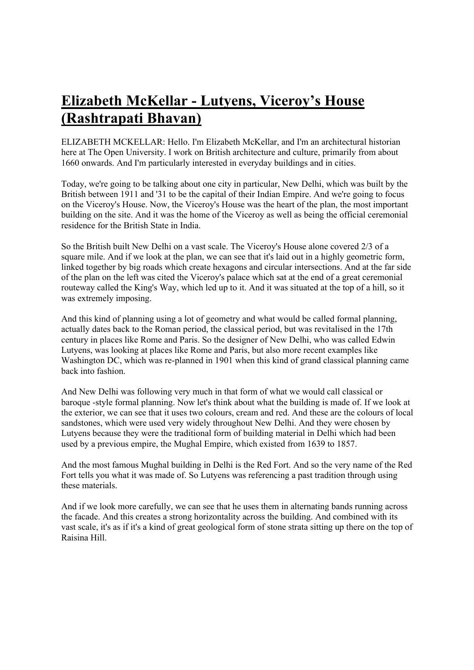## **Elizabeth McKellar - Lutyens, Viceroy's House (Rashtrapati Bhavan)**

ELIZABETH MCKELLAR: Hello. I'm Elizabeth McKellar, and I'm an architectural historian here at The Open University. I work on British architecture and culture, primarily from about 1660 onwards. And I'm particularly interested in everyday buildings and in cities.

Today, we're going to be talking about one city in particular, New Delhi, which was built by the British between 1911 and '31 to be the capital of their Indian Empire. And we're going to focus on the Viceroy's House. Now, the Viceroy's House was the heart of the plan, the most important building on the site. And it was the home of the Viceroy as well as being the official ceremonial residence for the British State in India.

So the British built New Delhi on a vast scale. The Viceroy's House alone covered 2/3 of a square mile. And if we look at the plan, we can see that it's laid out in a highly geometric form, linked together by big roads which create hexagons and circular intersections. And at the far side of the plan on the left was cited the Viceroy's palace which sat at the end of a great ceremonial routeway called the King's Way, which led up to it. And it was situated at the top of a hill, so it was extremely imposing.

And this kind of planning using a lot of geometry and what would be called formal planning, actually dates back to the Roman period, the classical period, but was revitalised in the 17th century in places like Rome and Paris. So the designer of New Delhi, who was called Edwin Lutyens, was looking at places like Rome and Paris, but also more recent examples like Washington DC, which was re-planned in 1901 when this kind of grand classical planning came back into fashion.

And New Delhi was following very much in that form of what we would call classical or baroque -style formal planning. Now let's think about what the building is made of. If we look at the exterior, we can see that it uses two colours, cream and red. And these are the colours of local sandstones, which were used very widely throughout New Delhi. And they were chosen by Lutyens because they were the traditional form of building material in Delhi which had been used by a previous empire, the Mughal Empire, which existed from 1639 to 1857.

And the most famous Mughal building in Delhi is the Red Fort. And so the very name of the Red Fort tells you what it was made of. So Lutyens was referencing a past tradition through using these materials.

And if we look more carefully, we can see that he uses them in alternating bands running across the facade. And this creates a strong horizontality across the building. And combined with its vast scale, it's as if it's a kind of great geological form of stone strata sitting up there on the top of Raisina Hill.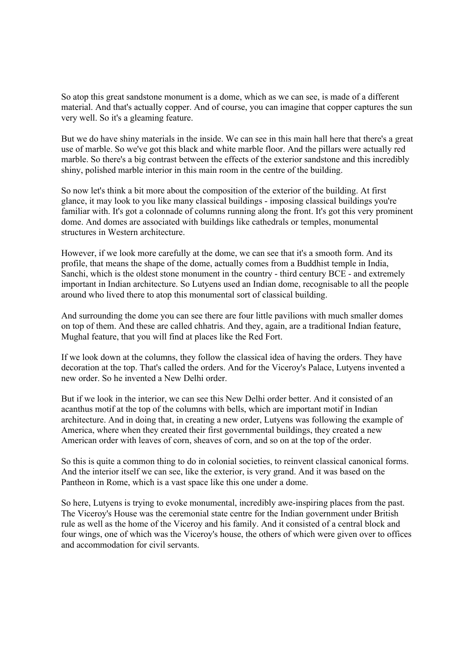So atop this great sandstone monument is a dome, which as we can see, is made of a different material. And that's actually copper. And of course, you can imagine that copper captures the sun very well. So it's a gleaming feature.

But we do have shiny materials in the inside. We can see in this main hall here that there's a great use of marble. So we've got this black and white marble floor. And the pillars were actually red marble. So there's a big contrast between the effects of the exterior sandstone and this incredibly shiny, polished marble interior in this main room in the centre of the building.

So now let's think a bit more about the composition of the exterior of the building. At first glance, it may look to you like many classical buildings - imposing classical buildings you're familiar with. It's got a colonnade of columns running along the front. It's got this very prominent dome. And domes are associated with buildings like cathedrals or temples, monumental structures in Western architecture.

However, if we look more carefully at the dome, we can see that it's a smooth form. And its profile, that means the shape of the dome, actually comes from a Buddhist temple in India, Sanchi, which is the oldest stone monument in the country - third century BCE - and extremely important in Indian architecture. So Lutyens used an Indian dome, recognisable to all the people around who lived there to atop this monumental sort of classical building.

And surrounding the dome you can see there are four little pavilions with much smaller domes on top of them. And these are called chhatris. And they, again, are a traditional Indian feature, Mughal feature, that you will find at places like the Red Fort.

If we look down at the columns, they follow the classical idea of having the orders. They have decoration at the top. That's called the orders. And for the Viceroy's Palace, Lutyens invented a new order. So he invented a New Delhi order.

But if we look in the interior, we can see this New Delhi order better. And it consisted of an acanthus motif at the top of the columns with bells, which are important motif in Indian architecture. And in doing that, in creating a new order, Lutyens was following the example of America, where when they created their first governmental buildings, they created a new American order with leaves of corn, sheaves of corn, and so on at the top of the order.

So this is quite a common thing to do in colonial societies, to reinvent classical canonical forms. And the interior itself we can see, like the exterior, is very grand. And it was based on the Pantheon in Rome, which is a vast space like this one under a dome.

So here, Lutyens is trying to evoke monumental, incredibly awe-inspiring places from the past. The Viceroy's House was the ceremonial state centre for the Indian government under British rule as well as the home of the Viceroy and his family. And it consisted of a central block and four wings, one of which was the Viceroy's house, the others of which were given over to offices and accommodation for civil servants.